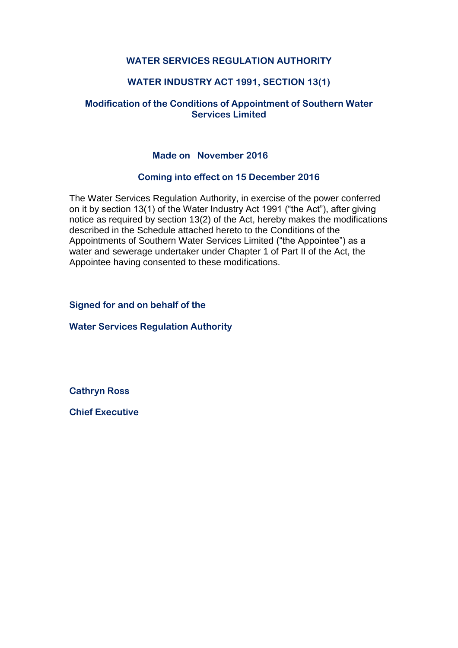# **WATER SERVICES REGULATION AUTHORITY**

# **WATER INDUSTRY ACT 1991, SECTION 13(1)**

### **Modification of the Conditions of Appointment of Southern Water Services Limited**

### **Made on November 2016**

#### **Coming into effect on 15 December 2016**

The Water Services Regulation Authority, in exercise of the power conferred on it by section 13(1) of the Water Industry Act 1991 ("the Act"), after giving notice as required by section 13(2) of the Act, hereby makes the modifications described in the Schedule attached hereto to the Conditions of the Appointments of Southern Water Services Limited ("the Appointee") as a water and sewerage undertaker under Chapter 1 of Part II of the Act, the Appointee having consented to these modifications.

**Signed for and on behalf of the** 

**Water Services Regulation Authority** 

**Cathryn Ross**

**Chief Executive**